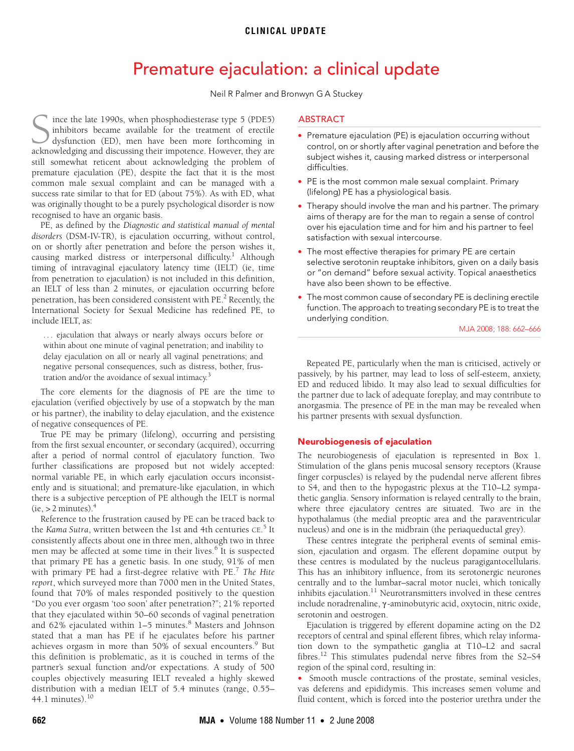# **CLINICAL UPDATE**

# Premature ejaculation: a clinical update

Neil R Palmer and Bronwyn G A Stuckey

<span id="page-0-0"></span>recognised to have an organic basis. ince the late 1990s, when phosphodiesterase type 5 (PDE5) inhibitors became available for the treatment of erectile dysfunction (ED), men have been more forthcoming in Ince the late 1990s, when phosphodiesterase type 5 (PDE5) inhibitors became available for the treatment of erectile dysfunction (ED), men have been more forthcoming in acknowledging and discussing their impotence. However, still somewhat reticent about acknowledging the problem of premature ejaculation (PE), despite the fact that it is the most common male sexual complaint and can be managed with a success rate similar to that for ED (about 75%). As with ED, what was originally thought to be a purely psychological disorder is now

PE, as defined by the *Diagnost[ic a](#page-0-0)[nd st](#page-4-0)atistical manual of mental* ©The Medical Journal of Australia 2008 *disorders* (DSM-IV-TR), is ejaculation occurring, without control, on or shortly after penetration and before the person wishes it, causing marked distress or interpersonal difficulty.<sup>1</sup> Although timing of intravaginal ejaculatory latency time (IELT) (ie, time from penetration to ejaculation) is not included in this definition, an IELT of less than 2 minutes, or ejaculation occurring before penetration, has been considered consistent with PE.<sup>[2](#page-3-1)</sup> Recently, the International Society for Sexual Medicine has redefined PE, to include IELT, as:

. . . ejaculation that always or nearly always occurs before or within about one minute of vaginal penetration; and inability to delay ejaculation on all or nearly all vaginal penetrations; and negative personal consequences, such as distress, bother, frustration and/or the avoidance of sexual intimacy.[3](#page-3-2)

The core elements for the diagnosis of PE are the time to ejaculation (verified objectively by use of a stopwatch by the man or his partner), the inability to delay ejaculation, and the existence of negative consequences of PE.

True PE may be primary (lifelong), occurring and persisting from the first sexual encounter, or secondary (acquired), occurring after a period of normal control of ejaculatory function. Two further classifications are proposed but not widely accepted: normal variable PE, in which early ejaculation occurs inconsistently and is situational; and premature-like ejaculation, in which there is a subjective perception of PE although the IELT is normal  $(ie, > 2$  minutes).<sup>[4](#page-3-3)</sup>

Reference to the frustration caused by PE can be traced back to the *Kama Sutra*, written between the 1st and 4th centuries CE.<sup>[5](#page-3-4)</sup> It consistently affects about one in three men, although two in three men may be affected at some time in their lives.<sup>[6](#page-3-5)</sup> It is suspected that primary PE has a genetic basis. In one study, 91% of men with primary PE had a first-degree relative with PE.[7](#page-3-6) *The Hite report*, which surveyed more than 7000 men in the United States, found that 70% of males responded positively to the question "Do you ever orgasm 'too soon' after penetration?"; 21% reported that they ejaculated within 50–60 seconds of vaginal penetration and 62% ejaculated within 1–5 minutes.<sup>[8](#page-3-7)</sup> Masters and Johnson stated that a man has PE if he ejaculates before his partner achieves orgasm in more than 50% of sexual encounters.<sup>[9](#page-3-8)</sup> But this definition is problematic, as it is couched in terms of the partner's sexual function and/or expectations. A study of 500 couples objectively measuring IELT revealed a highly skewed distribution with a median IELT of 5.4 minutes (range, 0.55– 44.1 minutes). $10$ 

# ABSTRACT

- Premature ejaculation (PE) is ejaculation occurring without control, on or shortly after vaginal penetration and before the subject wishes it, causing marked distress or interpersonal difficulties.
- PE is the most common male sexual complaint. Primary (lifelong) PE has a physiological basis.
- Therapy should involve the man and his partner. The primary aims of therapy are for the man to regain a sense of control over his ejaculation time and for him and his partner to feel satisfaction with sexual intercourse.
- The most effective therapies for primary PE are certain selective serotonin reuptake inhibitors, given on a daily basis or "on demand" before sexual activity. Topical anaesthetics have also been shown to be effective.
- The most common cause of secondary PE is declining erectile function. The approach to treating secondary PE is to treat the underlying condition.

MJA 2008; 188: 662–666

Repeated PE, particularly when the man is criticised, actively or passively, by his partner, may lead to loss of self-esteem, anxiety, ED and reduced libido. It may also lead to sexual difficulties for the partner due to lack of adequate foreplay, and may contribute to anorgasmia. The presence of PE in the man may be revealed when his partner presents with sexual dysfunction.

## Neurobiogenesis of ejaculation

The neurobiogenesis of ejaculation is represented in Box 1. Stimulation of the glans penis mucosal sensory receptors (Krause finger corpuscles) is relayed by the pudendal nerve afferent fibres to S4, and then to the hypogastric plexus at the T10–L2 sympathetic ganglia. Sensory information is relayed centrally to the brain, where three ejaculatory centres are situated. Two are in the hypothalamus (the medial preoptic area and the paraventricular nucleus) and one is in the midbrain (the periaqueductal grey).

These centres integrate the peripheral events of seminal emission, ejaculation and orgasm. The efferent dopamine output by these centres is modulated by the nucleus paragigantocellularis. This has an inhibitory influence, from its serotonergic neurones centrally and to the lumbar–sacral motor nuclei, which tonically inhibits ejaculation. $11$  Neurotransmitters involved in these centres include noradrenaline, γ -aminobutyric acid, oxytocin, nitric oxide, serotonin and oestrogen.

Ejaculation is triggered by efferent dopamine acting on the D2 receptors of central and spinal efferent fibres, which relay information down to the sympathetic ganglia at T10–L2 and sacral fibres[.12](#page-3-11) This stimulates pudendal nerve fibres from the S2–S4 region of the spinal cord, resulting in:

• Smooth muscle contractions of the prostate, seminal vesicles, vas deferens and epididymis. This increases semen volume and fluid content, which is forced into the posterior urethra under the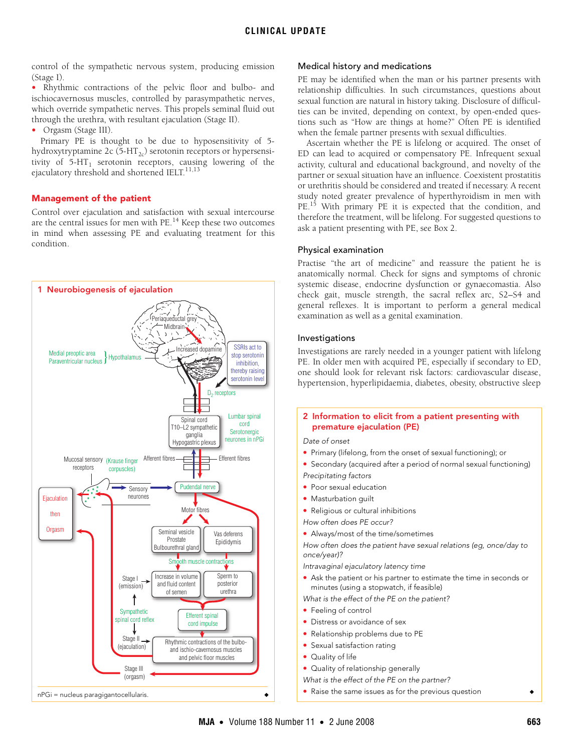control of the sympathetic nervous system, producing emission (Stage I).

• Rhythmic contractions of the pelvic floor and bulbo- and ischiocavernosus muscles, controlled by parasympathetic nerves, which override sympathetic nerves. This propels seminal fluid out through the urethra, with resultant ejaculation (Stage II).

• Orgasm (Stage III).

Primary PE is thought to be due to hyposensitivity of 5 hydroxytryptamine 2c  $(5-HT_{2c})$  serotonin receptors or hypersensitivity of  $5-HT_1$  serotonin receptors, causing lowering of the ejaculatory threshold and shortened IELT. $^{11,13}$  $^{11,13}$  $^{11,13}$ 

## Management of the patient

Control over ejaculation and satisfaction with sexual intercourse are the central issues for men with  $PE<sup>14</sup>$  Keep these two outcomes in mind when assessing PE and evaluating treatment for this condition.



## Medical history and medications

PE may be identified when the man or his partner presents with relationship difficulties. In such circumstances, questions about sexual function are natural in history taking. Disclosure of difficulties can be invited, depending on context, by open-ended questions such as "How are things at home?" Often PE is identified when the female partner presents with sexual difficulties.

Ascertain whether the PE is lifelong or acquired. The onset of ED can lead to acquired or compensatory PE. Infrequent sexual activity, cultural and educational background, and novelty of the partner or sexual situation have an influence. Coexistent prostatitis or urethritis should be considered and treated if necessary. A recent study noted greater prevalence of hyperthyroidism in men with PE.<sup>15</sup> With primary PE it is expected that the condition, and therefore the treatment, will be lifelong. For suggested questions to ask a patient presenting with PE, see Box 2.

#### Physical examination

Practise "the art of medicine" and reassure the patient he is anatomically normal. Check for signs and symptoms of chronic systemic disease, endocrine dysfunction or gynaecomastia. Also check gait, muscle strength, the sacral reflex arc, S2–S4 and general reflexes. It is important to perform a general medical examination as well as a genital examination.

## Investigations

Investigations are rarely needed in a younger patient with lifelong PE. In older men with acquired PE, especially if secondary to ED, one should look for relevant risk factors: cardiovascular disease, hypertension, hyperlipidaemia, diabetes, obesity, obstructive sleep

## 2 Information to elicit from a patient presenting with premature ejaculation (PE)

Date of onset

- Primary (lifelong, from the onset of sexual functioning); or
- Secondary (acquired after a period of normal sexual functioning) Precipitating factors
- Poor sexual education
- Masturbation guilt
- Religious or cultural inhibitions

How often does PE occur?

• Always/most of the time/sometimes

How often does the patient have sexual relations (eg, once/day to once/year)?

Intravaginal ejaculatory latency time

• Ask the patient or his partner to estimate the time in seconds or minutes (using a stopwatch, if feasible)

What is the effect of the PE on the patient?

- Feeling of control
- Distress or avoidance of sex
- Relationship problems due to PE
- Sexual satisfaction rating
- Quality of life
- Quality of relationship generally

What is the effect of the PE on the partner?

Raise the same issues as for the previous question  $\leftrightarrow$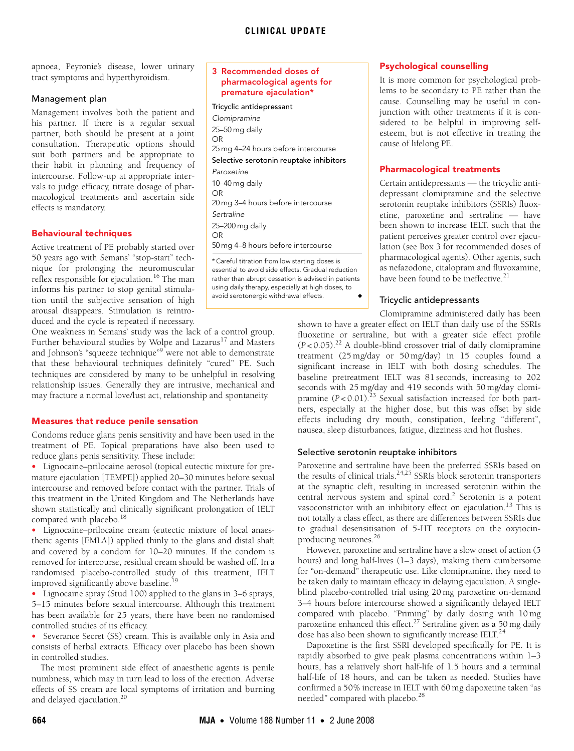apnoea, Peyronie's disease, lower urinary tract symptoms and hyperthyroidism.

## Management plan

Management involves both the patient and his partner. If there is a regular sexual partner, both should be present at a joint consultation. Therapeutic options should suit both partners and be appropriate to their habit in planning and frequency of intercourse. Follow-up at appropriate intervals to judge efficacy, titrate dosage of pharmacological treatments and ascertain side effects is mandatory.

# Behavioural techniques

Active treatment of PE probably started over 50 years ago with Semans' "stop-start" technique for prolonging the neuromuscular reflex responsible for ejaculation.[16](#page-4-1) The man informs his partner to stop genital stimulation until the subjective sensation of high arousal disappears. Stimulation is reintroduced and the cycle is repeated if necessary.

One weakness in Semans' study was the lack of a control group. Further behavioural studies by Wolpe and Lazarus<sup>[17](#page-4-2)</sup> and Masters and Johnson's "squeeze technique"<sup>[9](#page-3-8)</sup> were not able to demonstrate that these behavioural techniques definitely "cured" PE. Such techniques are considered by many to be unhelpful in resolving relationship issues. Generally they are intrusive, mechanical and may fracture a normal love/lust act, relationship and spontaneity.

# Measures that reduce penile sensation

Condoms reduce glans penis sensitivity and have been used in the treatment of PE. Topical preparations have also been used to reduce glans penis sensitivity. These include:

• Lignocaine–prilocaine aerosol (topical eutectic mixture for premature ejaculation [TEMPE]) applied 20–30 minutes before sexual intercourse and removed before contact with the partner. Trials of this treatment in the United Kingdom and The Netherlands have shown statistically and clinically significant prolongation of IELT compared with placebo.<sup>[18](#page-4-3)</sup>

• Lignocaine–prilocaine cream (eutectic mixture of local anaesthetic agents [EMLA]) applied thinly to the glans and distal shaft and covered by a condom for 10–20 minutes. If the condom is removed for intercourse, residual cream should be washed off. In a randomised placebo-controlled study of this treatment, IELT improved significantly above baseline.<sup>[19](#page-4-4)</sup>

• Lignocaine spray (Stud 100) applied to the glans in 3–6 sprays, 5–15 minutes before sexual intercourse. Although this treatment

has been available for 25 years, there have been no randomised controlled studies of its efficacy. • Severance Secret (SS) cream. This is available only in Asia and

consists of herbal extracts. Efficacy over placebo has been shown in controlled studies. The most prominent side effect of anaesthetic agents is penile

numbness, which may in turn lead to loss of the erection. Adverse effects of SS cream are local symptoms of irritation and burning and delayed ejaculation[.20](#page-4-5)

## 3 Recommended doses of pharmacological agents for premature ejaculation\*

Tricyclic antidepressant Clomipramine 25–50 mg daily OR 25 mg 4–24 hours before intercourse Selective serotonin reuptake inhibitors Paroxetine 10–40 mg daily OR 20 mg 3–4 hours before intercourse Sertraline 25–200 mg daily OR 50 mg 4–8 hours before intercourse

\* Careful titration from low starting doses is essential to avoid side effects. Gradual reduction rather than abrupt cessation is advised in patients using daily therapy, especially at high doses, to avoid serotonergic withdrawal effects.

## Psychological counselling

It is more common for psychological problems to be secondary to PE rather than the cause. Counselling may be useful in conjunction with other treatments if it is considered to be helpful in improving selfesteem, but is not effective in treating the cause of lifelong PE.

## Pharmacological treatments

Certain antidepressants — the tricyclic antidepressant clomipramine and the selective serotonin reuptake inhibitors (SSRIs) fluoxetine, paroxetine and sertraline — have been shown to increase IELT, such that the patient perceives greater control over ejaculation (see Box 3 for recommended doses of pharmacological agents). Other agents, such as nefazodone, citalopram and fluvoxamine, have been found to be ineffective. $21$ 

# Tricyclic antidepressants

Clomipramine administered daily has been shown to have a greater effect on IELT than daily use of the SSRIs fluoxetine or sertraline, but with a greater side effect profile (*P* < 0.05)[.22](#page-4-7) A double-blind crossover trial of daily clomipramine treatment (25 mg/day or 50 mg/day) in 15 couples found a significant increase in IELT with both dosing schedules. The baseline pretreatment IELT was 81 seconds, increasing to 202 seconds with 25 mg/day and 419 seconds with 50 mg/day clomipramine (*P* < 0.01).<sup>[23](#page-4-8)</sup> Sexual satisfaction increased for both partners, especially at the higher dose, but this was offset by side effects including dry mouth, constipation, feeling "different", nausea, sleep disturbances, fatigue, dizziness and hot flushes.

# Selective serotonin reuptake inhibitors

Paroxetine and sertraline have been the preferred SSRIs based on the results of clinical trials.<sup>24,25</sup> SSRIs block serotonin transporters at the synaptic cleft, resulting in increased serotonin within the central nervous system and spinal cord.<sup>2</sup> Serotonin is a potent vasoconstrictor with an inhibitory effect on ejaculation.<sup>13</sup> This is not totally a class effect, as there are differences between SSRIs due to gradual desensitisation of 5-HT receptors on the oxytocin-producing neurones.<sup>[26](#page-4-11)</sup>

However, paroxetine and sertraline have a slow onset of action (5 hours) and long half-lives (1–3 days), making them cumbersome for "on-demand" therapeutic use. Like clomipramine, they need to be taken daily to maintain efficacy in delaying ejaculation. A singleblind placebo-controlled trial using 20 mg paroxetine on-demand 3–4 hours before intercourse showed a significantly delayed IELT compared with placebo. "Priming" by daily dosing with 10 mg paroxetine enhanced this effect.<sup>27</sup> Sertraline given as a 50 mg daily dose has also been shown to significantly increase IELT.<sup>24</sup>

Dapoxetine is the first SSRI developed specifically for PE. It is rapidly absorbed to give peak plasma concentrations within 1–3 hours, has a relatively short half-life of 1.5 hours and a terminal half-life of 18 hours, and can be taken as needed. Studies have confirmed a 50% increase in IELT with 60 mg dapoxetine taken "as needed" compared with placebo.<sup>[28](#page-4-13)</sup>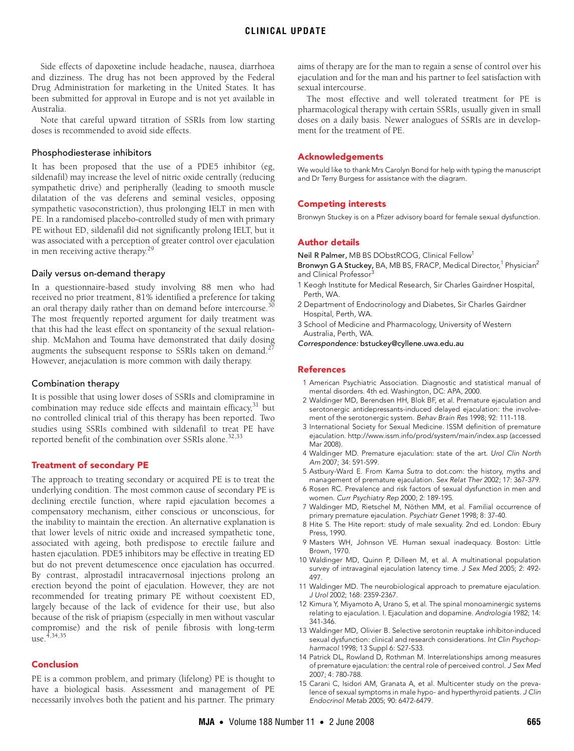Side effects of dapoxetine include headache, nausea, diarrhoea and dizziness. The drug has not been approved by the Federal Drug Administration for marketing in the United States. It has been submitted for approval in Europe and is not yet available in Australia.

Note that careful upward titration of SSRIs from low starting doses is recommended to avoid side effects.

#### Phosphodiesterase inhibitors

It has been proposed that the use of a PDE5 inhibitor (eg, sildenafil) may increase the level of nitric oxide centrally (reducing sympathetic drive) and peripherally (leading to smooth muscle dilatation of the vas deferens and seminal vesicles, opposing sympathetic vasoconstriction), thus prolonging IELT in men with PE. In a randomised placebo-controlled study of men with primary PE without ED, sildenafil did not significantly prolong IELT, but it was associated with a perception of greater control over ejaculation in men receiving active therapy.[29](#page-4-14)

#### Daily versus on-demand therapy

In a questionnaire-based study involving 88 men who had received no prior treatment, 81% identified a preference for taking an oral therapy daily rather than on demand before intercourse.<sup>[30](#page-4-15)</sup> The most frequently reported argument for daily treatment was that this had the least effect on spontaneity of the sexual relationship. McMahon and Touma have demonstrated that daily dosing augments the subsequent response to SSRIs taken on demand.<sup>2</sup> However, anejaculation is more common with daily therapy.

#### Combination therapy

It is possible that using lower doses of SSRIs and clomipramine in combination may reduce side effects and maintain efficacy, $31$  but no controlled clinical trial of this therapy has been reported. Two studies using SSRIs combined with sildenafil to treat PE have reported benefit of the combination over SSRIs alone.<sup>32[,33](#page-4-18)</sup>

#### Treatment of secondary PE

The approach to treating secondary or acquired PE is to treat the underlying condition. The most common cause of secondary PE is declining erectile function, where rapid ejaculation becomes a compensatory mechanism, either conscious or unconscious, for the inability to maintain the erection. An alternative explanation is that lower levels of nitric oxide and increased sympathetic tone, associated with ageing, both predispose to erectile failure and hasten ejaculation. PDE5 inhibitors may be effective in treating ED but do not prevent detumescence once ejaculation has occurred. By contrast, alprostadil intracavernosal injections prolong an erection beyond the point of ejaculation. However, they are not recommended for treating primary PE without coexistent ED, largely because of the lack of evidence for their use, but also because of the risk of priapism (especially in men without vascular compromise) and the risk of penile fibrosis with long-term use[.4,](#page-3-3)[34](#page-4-19),[35](#page-4-0)

#### Conclusion

PE is a common problem, and primary (lifelong) PE is thought to have a biological basis. Assessment and management of PE necessarily involves both the patient and his partner. The primary aims of therapy are for the man to regain a sense of control over his ejaculation and for the man and his partner to feel satisfaction with sexual intercourse.

The most effective and well tolerated treatment for PE is pharmacological therapy with certain SSRIs, usually given in small doses on a daily basis. Newer analogues of SSRIs are in development for the treatment of PE.

#### Acknowledgements

We would like to thank Mrs Carolyn Bond for help with typing the manuscript and Dr Terry Burgess for assistance with the diagram.

#### Competing interests

Bronwyn Stuckey is on a Pfizer advisory board for female sexual dysfunction.

#### Author details

Neil R Palmer, MB BS DObstRCOG, Clinical Fellow<sup>1</sup>

Bronwyn G A Stuckey, BA, MB BS, FRACP, Medical Director,<sup>1</sup> Physician<sup>2</sup> and Clinical Professor<sup>3</sup>

- 1 Keogh Institute for Medical Research, Sir Charles Gairdner Hospital, Perth, WA.
- 2 Department of Endocrinology and Diabetes, Sir Charles Gairdner Hospital, Perth, WA.
- 3 School of Medicine and Pharmacology, University of Western Australia, Perth, WA.
- Correspondence: bstuckey@cyllene.uwa.edu.au

## References

- <span id="page-3-0"></span>1 American Psychiatric Association. Diagnostic and statistical manual of mental disorders. 4th ed. Washington, DC: APA, 2000.
- <span id="page-3-1"></span>2 Waldinger MD, Berendsen HH, Blok BF, et al. Premature ejaculation and serotonergic antidepressants-induced delayed ejaculation: the involvement of the serotonergic system. Behav Brain Res 1998; 92: 111-118.
- <span id="page-3-2"></span>3 International Society for Sexual Medicine. ISSM definition of premature ejaculation. http://www.issm.info/prod/system/main/index.asp (accessed Mar 2008).
- <span id="page-3-3"></span>4 Waldinger MD. Premature ejaculation: state of the art. Urol Clin North Am 2007; 34: 591-599.
- <span id="page-3-4"></span>5 Astbury-Ward E. From Kama Sutra to dot.com: the history, myths and management of premature ejaculation. Sex Relat Ther 2002; 17: 367-379.
- <span id="page-3-5"></span>6 Rosen RC. Prevalence and risk factors of sexual dysfunction in men and women. Curr Psychiatry Rep 2000; 2: 189-195.
- <span id="page-3-6"></span>7 Waldinger MD, Rietschel M, Nöthen MM, et al. Familial occurrence of primary premature ejaculation. Psychiatr Genet 1998; 8: 37-40.
- <span id="page-3-7"></span>8 Hite S. The Hite report: study of male sexuality. 2nd ed. London: Ebury Press, 1990.
- <span id="page-3-8"></span>9 Masters WH, Johnson VE. Human sexual inadequacy. Boston: Little Brown, 1970.
- <span id="page-3-9"></span>10 Waldinger MD, Quinn P, Dilleen M, et al. A multinational population survey of intravaginal ejaculation latency time. J Sex Med 2005; 2: 492- 497.
- <span id="page-3-10"></span>11 Waldinger MD. The neurobiological approach to premature ejaculation. J Urol 2002; 168: 2359-2367.
- <span id="page-3-11"></span>12 Kimura Y, Miyamoto A, Urano S, et al. The spinal monoaminergic systems relating to ejaculation. I. Ejaculation and dopamine. Andrologia 1982; 14: 341-346.
- <span id="page-3-12"></span>13 Waldinger MD, Olivier B. Selective serotonin reuptake inhibitor-induced sexual dysfunction: clinical and research considerations. Int Clin Psychopharmacol 1998; 13 Suppl 6: S27-S33.
- <span id="page-3-13"></span>14 Patrick DL, Rowland D, Rothman M. Interrelationships among measures of premature ejaculation: the central role of perceived control. J Sex Med 2007; 4: 780-788.
- <span id="page-3-14"></span>15 Carani C, Isidori AM, Granata A, et al. Multicenter study on the prevalence of sexual symptoms in male hypo- and hyperthyroid patients. J Clin Endocrinol Metab 2005; 90: 6472-6479.